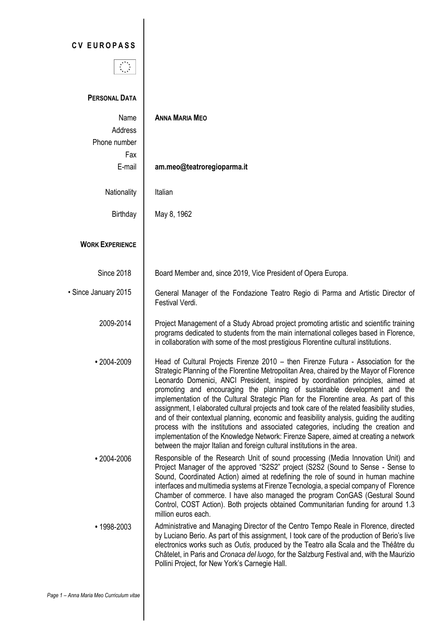## **C V E U R O P A S S**



## **PERSONAL DATA** Name **ANNA MARIA MEO** Address Phone number Fax E-mail **am.meo@teatroregioparma.it** Nationality | Italian Birthday  $\parallel$  May 8, 1962 **WORK EXPERIENCE** Since 2018 • Since January 2015 Board Member and, since 2019, Vice President of Opera Europa. General Manager of the Fondazione Teatro Regio di Parma and Artistic Director of Festival Verdi. 2009-2014 Project Management of a Study Abroad project promoting artistic and scientific training programs dedicated to students from the main international colleges based in Florence, in collaboration with some of the most prestigious Florentine cultural institutions. • 2004-2009 Head of Cultural Projects Firenze 2010 – then Firenze Futura - Association for the Strategic Planning of the Florentine Metropolitan Area, chaired by the Mayor of Florence Leonardo Domenici, ANCI President, inspired by coordination principles, aimed at promoting and encouraging the planning of sustainable development and the implementation of the Cultural Strategic Plan for the Florentine area. As part of this assignment, I elaborated cultural projects and took care of the related feasibility studies, and of their contextual planning, economic and feasibility analysis, guiding the auditing process with the institutions and associated categories, including the creation and implementation of the Knowledge Network: Firenze Sapere, aimed at creating a network between the major Italian and foreign cultural institutions in the area. • 2004-2006 **Responsible of the Research Unit of sound processing (Media Innovation Unit) and** Project Manager of the approved "S2S2" project (S2S2 (Sound to Sense - Sense to Sound, Coordinated Action) aimed at redefining the role of sound in human machine interfaces and multimedia systems at Firenze Tecnologia, a special company of Florence Chamber of commerce. I have also managed the program ConGAS (Gestural Sound Control, COST Action). Both projects obtained Communitarian funding for around 1.3 million euros each. • 1998-2003 | Administrative and Managing Director of the Centro Tempo Reale in Florence, directed by Luciano Berio. As part of this assignment, I took care of the production of Berio's live electronics works such as *Outis,* produced by the Teatro alla Scala and the Théâtre du Châtelet, in Paris and *Cronaca del luogo*, for the Salzburg Festival and, with the Maurizio Pollini Project, for New York's Carnegie Hall.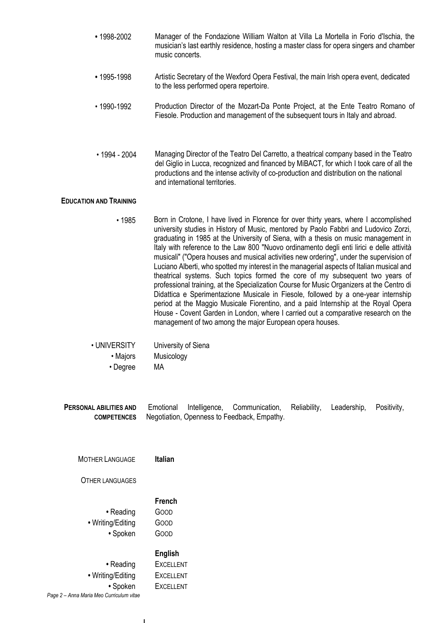- 1998-2002 Manager of the Fondazione William Walton at Villa La Mortella in Forio d'Ischia, the musician's last earthly residence, hosting a master class for opera singers and chamber music concerts.
- 1995-1998 Artistic Secretary of the Wexford Opera Festival, the main Irish opera event, dedicated to the less performed opera repertoire.
- 1990-1992 Production Director of the Mozart-Da Ponte Project, at the Ente Teatro Romano of Fiesole. Production and management of the subsequent tours in Italy and abroad.
- 1994 2004 Managing Director of the Teatro Del Carretto, a theatrical company based in the Teatro del Giglio in Lucca, recognized and financed by MiBACT, for which I took care of all the productions and the intense activity of co-production and distribution on the national and international territories.

## **EDUCATION AND TRAINING**

• 1985 Born in Crotone, I have lived in Florence for over thirty years, where I accomplished university studies in History of Music, mentored by Paolo Fabbri and Ludovico Zorzi, graduating in 1985 at the University of Siena, with a thesis on music management in Italy with reference to the Law 800 "Nuovo ordinamento degli enti lirici e delle attività musicali" ("Opera houses and musical activities new ordering", under the supervision of Luciano Alberti, who spotted my interest in the managerial aspects of Italian musical and theatrical systems. Such topics formed the core of my subsequent two years of professional training, at the Specialization Course for Music Organizers at the Centro di Didattica e Sperimentazione Musicale in Fiesole, followed by a one-year internship period at the Maggio Musicale Fiorentino, and a paid Internship at the Royal Opera House - Covent Garden in London, where I carried out a comparative research on the management of two among the major European opera houses.

| • UNIVERSITY | University of Siena |
|--------------|---------------------|
| • Majors     | Musicology          |
| • Degree     | МA                  |

Emotional Intelligence, Communication, Reliability, Leadership, Positivity, Negotiation, Openness to Feedback, Empathy. **PERSONAL ABILITIES AND COMPETENCES**

| <b>MOTHER LANGUAGE</b>                     | <b>Italian</b>                           |
|--------------------------------------------|------------------------------------------|
| <b>OTHER LANGUAGES</b>                     |                                          |
| • Reading<br>• Writing/Editing<br>• Spoken | French<br>GOOD<br>Goop<br>ദറററ           |
| • Reading<br>• Writing/Editing             | English<br><b>EXCELLENT</b><br>EXCELLENT |

**•** Spoken EXCELLENT

*Page 2 – Anna Maria Meo Curriculum vitae*